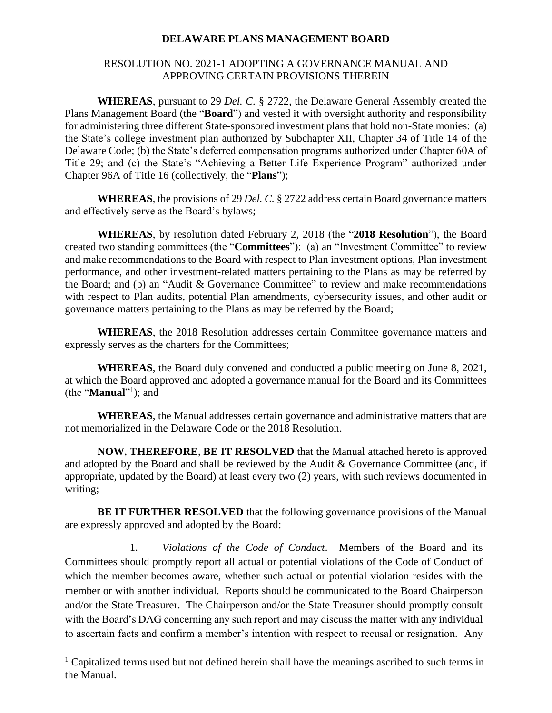## **DELAWARE PLANS MANAGEMENT BOARD**

## RESOLUTION NO. 2021-1 ADOPTING A GOVERNANCE MANUAL AND APPROVING CERTAIN PROVISIONS THEREIN

**WHEREAS**, pursuant to 29 *Del. C.* § 2722, the Delaware General Assembly created the Plans Management Board (the "**Board**") and vested it with oversight authority and responsibility for administering three different State-sponsored investment plans that hold non-State monies: (a) the State's college investment plan authorized by Subchapter XII, Chapter 34 of Title 14 of the Delaware Code; (b) the State's deferred compensation programs authorized under Chapter 60A of Title 29; and (c) the State's "Achieving a Better Life Experience Program" authorized under Chapter 96A of Title 16 (collectively, the "**Plans**");

**WHEREAS**, the provisions of 29 *Del. C.* § 2722 address certain Board governance matters and effectively serve as the Board's bylaws;

**WHEREAS**, by resolution dated February 2, 2018 (the "**2018 Resolution**"), the Board created two standing committees (the "**Committees**"): (a) an "Investment Committee" to review and make recommendations to the Board with respect to Plan investment options, Plan investment performance, and other investment-related matters pertaining to the Plans as may be referred by the Board; and (b) an "Audit & Governance Committee" to review and make recommendations with respect to Plan audits, potential Plan amendments, cybersecurity issues, and other audit or governance matters pertaining to the Plans as may be referred by the Board;

**WHEREAS**, the 2018 Resolution addresses certain Committee governance matters and expressly serves as the charters for the Committees;

**WHEREAS**, the Board duly convened and conducted a public meeting on June 8, 2021, at which the Board approved and adopted a governance manual for the Board and its Committees (the "**Manual**"<sup>1</sup>); and

**WHEREAS**, the Manual addresses certain governance and administrative matters that are not memorialized in the Delaware Code or the 2018 Resolution.

**NOW**, **THEREFORE**, **BE IT RESOLVED** that the Manual attached hereto is approved and adopted by the Board and shall be reviewed by the Audit & Governance Committee (and, if appropriate, updated by the Board) at least every two (2) years, with such reviews documented in writing;

**BE IT FURTHER RESOLVED** that the following governance provisions of the Manual are expressly approved and adopted by the Board:

1. *Violations of the Code of Conduct*. Members of the Board and its Committees should promptly report all actual or potential violations of the Code of Conduct of which the member becomes aware, whether such actual or potential violation resides with the member or with another individual. Reports should be communicated to the Board Chairperson and/or the State Treasurer. The Chairperson and/or the State Treasurer should promptly consult with the Board's DAG concerning any such report and may discuss the matter with any individual to ascertain facts and confirm a member's intention with respect to recusal or resignation. Any

 $1$  Capitalized terms used but not defined herein shall have the meanings ascribed to such terms in the Manual.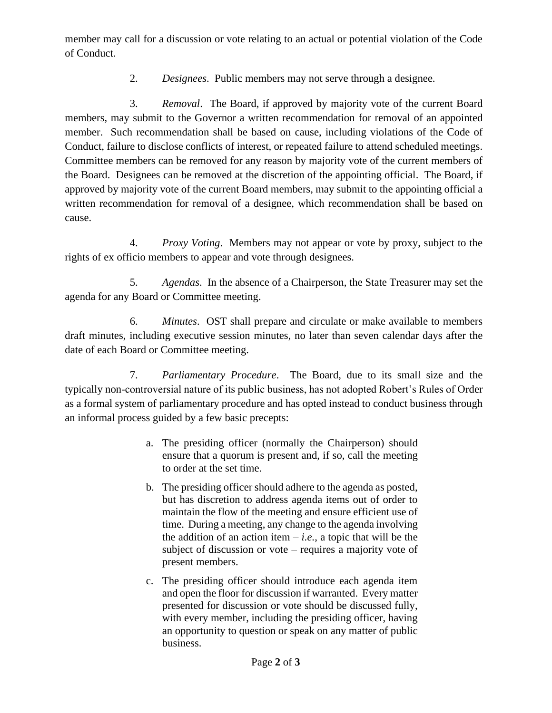member may call for a discussion or vote relating to an actual or potential violation of the Code of Conduct.

2. *Designees*. Public members may not serve through a designee.

3. *Removal*. The Board, if approved by majority vote of the current Board members, may submit to the Governor a written recommendation for removal of an appointed member. Such recommendation shall be based on cause, including violations of the Code of Conduct, failure to disclose conflicts of interest, or repeated failure to attend scheduled meetings. Committee members can be removed for any reason by majority vote of the current members of the Board. Designees can be removed at the discretion of the appointing official. The Board, if approved by majority vote of the current Board members, may submit to the appointing official a written recommendation for removal of a designee, which recommendation shall be based on cause.

4. *Proxy Voting*. Members may not appear or vote by proxy, subject to the rights of ex officio members to appear and vote through designees.

5. *Agendas*. In the absence of a Chairperson, the State Treasurer may set the agenda for any Board or Committee meeting.

6. *Minutes*. OST shall prepare and circulate or make available to members draft minutes, including executive session minutes, no later than seven calendar days after the date of each Board or Committee meeting.

7. *Parliamentary Procedure*. The Board, due to its small size and the typically non-controversial nature of its public business, has not adopted Robert's Rules of Order as a formal system of parliamentary procedure and has opted instead to conduct business through an informal process guided by a few basic precepts:

- a. The presiding officer (normally the Chairperson) should ensure that a quorum is present and, if so, call the meeting to order at the set time.
- b. The presiding officer should adhere to the agenda as posted, but has discretion to address agenda items out of order to maintain the flow of the meeting and ensure efficient use of time. During a meeting, any change to the agenda involving the addition of an action item  $-i.e.,$  a topic that will be the subject of discussion or vote – requires a majority vote of present members.
- c. The presiding officer should introduce each agenda item and open the floor for discussion if warranted. Every matter presented for discussion or vote should be discussed fully, with every member, including the presiding officer, having an opportunity to question or speak on any matter of public business.